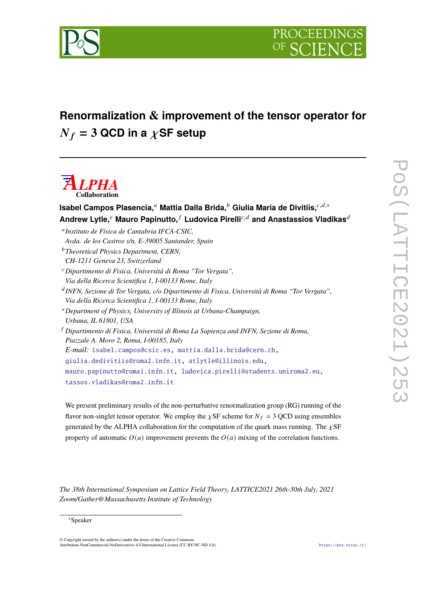

## **Renormalization & improvement of the tensor operator for**  $N_f = 3$  QCD in a  $\chi$ SF setup

# *ALPHA* **Collaboration**

**Isabel Campos Plasencia,<sup>a</sup> Mattia Dalla Brida,<sup>b</sup> Giulia Maria de Divitiis,<sup>***c,d,\****</sup>**  $A$ ndrew Lytle,<sup> $e$ </sup> Mauro Papinutto, $f$  Ludovica Pirelli<sup>c,d</sup> and Anastassios Vladikas<sup>d</sup> 𝑎 *Instituto de Física de Cantabria IFCA-CSIC, Avda. de los Castros s/n, E-39005 Santander, Spain* <sup>𝑏</sup>*Theoretical Physics Department, CERN, CH-1211 Geneva 23, Switzerland* <sup>𝑐</sup>*Dipartimento di Fisica, Università di Roma "Tor Vergata", Via della Ricerca Scientifica 1, I-00133 Rome, Italy* 𝑑 *INFN, Sezione di Tor Vergata, c/o Dipartimento di Fisica, Università di Roma "Tor Vergata", Via della Ricerca Scientifica 1, I-00133 Rome, Italy* <sup>𝑒</sup>*Department of Physics, University of Illinois at Urbana-Champaign, Urbana, IL 61801, USA* <sup>𝑓</sup> *Dipartimento di Fisica, Università di Roma La Sapienza and INFN, Sezione di Roma, Piazzale A. Moro 2, Roma, I-00185, Italy E-mail:* [isabel.campos@csic.es,](mailto:isabel.campos@csic.es) [mattia.dalla.brida@cern.ch,](mailto:mattia.dalla.brida@cern.ch) [giulia.dedivitiis@roma2.infn.it,](mailto:giulia.dedivitiis@roma2.infn.it) [atlytle@illinois.edu,](mailto:atlytle@illinois.edu) [mauro.papinutto@roma1.infn.it,](mailto:mauro.papinutto@roma1.infn.it) [ludovica.pirelli@students.uniroma2.eu,](mailto:ludovica.pirelli@students.uniroma2.eu) [tassos.vladikas@roma2.infn.it](mailto:tassos.vladikas@roma2.infn.it)

We present preliminary results of the non-perturbative renormalization group (RG) running of the flavor non-singlet tensor operator. We employ the  $\chi$ SF scheme for  $N_f = 3$  QCD using ensembles generated by the ALPHA collaboration for the computation of the quark mass running. The  $\chi$ SF property of automatic  $O(a)$  improvement prevents the  $O(a)$  mixing of the correlation functions.

*The 38th International Symposium on Lattice Field Theory, LATTICE2021 26th-30th July, 2021 Zoom/Gather@Massachusetts Institute of Technology*

#### <sup>∗</sup>Speaker

© Copyright owned by the author(s) under the terms of the Creative Commons Attribution-NonCommercial-NoDerivatives 4.0 International License (CC BY-NC-ND 4.0). <https://pos.sissa.it/>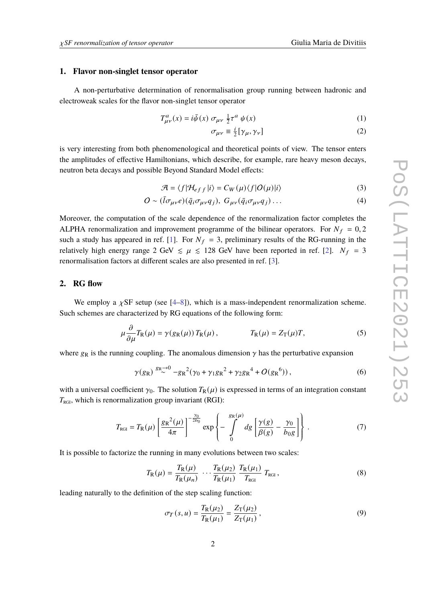#### **1. Flavor non-singlet tensor operator**

A non-perturbative determination of renormalisation group running between hadronic and electroweak scales for the flavor non-singlet tensor operator

$$
T_{\mu\nu}^a(x) = i\bar{\psi}(x) \sigma_{\mu\nu} \frac{1}{2} \tau^a \psi(x)
$$
 (1)

$$
\sigma_{\mu\nu} \equiv \frac{i}{2} [\gamma_{\mu}, \gamma_{\nu}] \tag{2}
$$

is very interesting from both phenomenological and theoretical points of view. The tensor enters the amplitudes of effective Hamiltonians, which describe, for example, rare heavy meson decays, neutron beta decays and possible Beyond Standard Model effects:

$$
\mathcal{A} = \langle f | \mathcal{H}_{eff} | i \rangle = C_W(\mu) \langle f | O(\mu) | i \rangle \tag{3}
$$

$$
O \sim (\bar{l}\sigma_{\mu\nu}e)(\bar{q}_i\sigma_{\mu\nu}q_j), G_{\mu\nu}(\bar{q}_i\sigma_{\mu\nu}q_j) \dots \tag{4}
$$

Moreover, the computation of the scale dependence of the renormalization factor completes the ALPHA renormalization and improvement programme of the bilinear operators. For  $N_f = 0, 2$ such a study has appeared in ref. [\[1\]](#page-7-0). For  $N_f = 3$ , preliminary results of the RG-running in the relatively high energy range 2 GeV  $\leq \mu \leq 128$  GeV have been reported in ref. [\[2\]](#page-7-1).  $N_f = 3$ renormalisation factors at different scales are also presented in ref. [\[3\]](#page-7-2).

## **2. RG flow**

We employ a  $\chi$ SF setup (see [\[4–](#page-7-3)[8\]](#page-7-4)), which is a mass-independent renormalization scheme. Such schemes are characterized by RG equations of the following form:

$$
\mu \frac{\partial}{\partial \mu} T_{\mathcal{R}}(\mu) = \gamma(g_{\mathcal{R}}(\mu)) T_{\mathcal{R}}(\mu), \qquad T_{\mathcal{R}}(\mu) = Z_{\mathcal{T}}(\mu) T, \qquad (5)
$$

where  $g_R$  is the running coupling. The anomalous dimension  $\gamma$  has the perturbative expansion

$$
\gamma(g_R) \stackrel{g_R \to 0}{\sim} -g_R^2(\gamma_0 + \gamma_1 g_R^2 + \gamma_2 g_R^4 + O(g_R^6)), \tag{6}
$$

with a universal coefficient  $\gamma_0$ . The solution  $T_R(\mu)$  is expressed in terms of an integration constant  $T_{\text{RGI}}$ , which is renormalization group invariant (RGI):

$$
T_{\text{RGI}} = T_{\text{R}}(\mu) \left[ \frac{g_{\text{R}}^{2}(\mu)}{4\pi} \right]^{-\frac{\gamma_{0}}{2b_{0}}} \exp \left\{-\int_{0}^{g_{\text{R}}(\mu)} dg \left[ \frac{\gamma(g)}{\beta(g)} - \frac{\gamma_{0}}{b_{0}g} \right] \right\}.
$$
 (7)

It is possible to factorize the running in many evolutions between two scales:

$$
T_{\rm R}(\mu) = \frac{T_{\rm R}(\mu)}{T_{\rm R}(\mu_n)} \cdots \frac{T_{\rm R}(\mu_2)}{T_{\rm R}(\mu_1)} \frac{T_{\rm R}(\mu_1)}{T_{\rm RGI}} T_{\rm RGI},
$$
(8)

leading naturally to the definition of the step scaling function:

$$
\sigma_T(s, u) = \frac{T_{\rm R}(\mu_2)}{T_{\rm R}(\mu_1)} = \frac{Z_{\rm T}(\mu_2)}{Z_{\rm T}(\mu_1)},
$$
\n(9)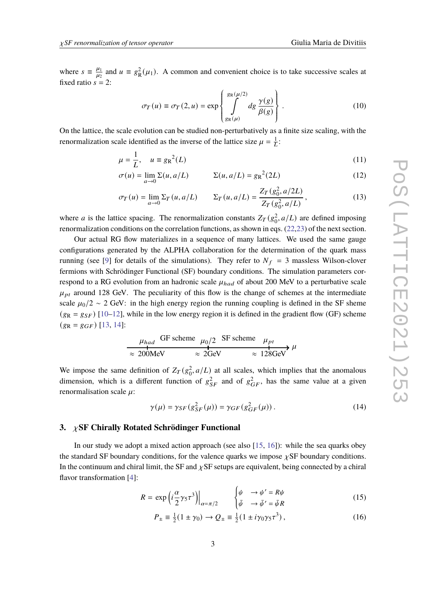where  $s = \frac{\mu_1}{\mu_2}$  $\frac{\mu_1}{\mu_2}$  and  $u \equiv g_R^2(\mu_1)$ . A common and convenient choice is to take successive scales at fixed ratio  $s = 2$ :

$$
\sigma_T(u) \equiv \sigma_T(2, u) = \exp\left\{\int_{g_R(\mu)}^{g_R(\mu/2)} dg \frac{\gamma(g)}{\beta(g)}\right\}.
$$
 (10)

 On the lattice, the scale evolution can be studied non-perturbatively as a finite size scaling, with the renormalization scale identified as the inverse of the lattice size  $\mu = \frac{1}{L}$ :

$$
\mu = \frac{1}{L}, \quad u \equiv g_R^2(L) \tag{11}
$$

$$
\sigma(u) = \lim_{a \to 0} \Sigma(u, a/L) \qquad \Sigma(u, a/L) = g_R^2(2L) \tag{12}
$$

$$
\sigma_T(u) = \lim_{a \to 0} \Sigma_T(u, a/L) \qquad \Sigma_T(u, a/L) = \frac{Z_T(g_0^2, a/2L)}{Z_T(g_0^2, a/L)},
$$
\n(13)

where *a* is the lattice spacing. The renormalization constants  $Z_T(g_0^2, a/L)$  are defined imposing renormalization conditions on the correlation functions, as shown in eqs. [\(22,](#page-3-0)[23\)](#page-3-1) of the next section.

Our actual RG flow materializes in a sequence of many lattices. We used the same gauge configurations generated by the ALPHA collaboration for the determination of the quark mass running (see [\[9\]](#page-8-0) for details of the simulations). They refer to  $N_f = 3$  massless Wilson-clover fermions with Schrödinger Functional (SF) boundary conditions. The simulation parameters correspond to a RG evolution from an hadronic scale  $\mu_{had}$  of about 200 MeV to a perturbative scale  $\mu_{pt}$  around 128 GeV. The peculiarity of this flow is the change of schemes at the intermediate scale  $\mu_0/2 \sim 2$  GeV: in the high energy region the running coupling is defined in the SF sheme  $(g_R = g_{SF})$  [\[10](#page-8-1)[–12\]](#page-8-2), while in the low energy region it is defined in the gradient flow (GF) scheme  $(g_R = g_{GF})$  [\[13,](#page-8-3) [14\]](#page-8-4):

$$
\mu_{had} \quad \text{GF scheme} \quad \mu_0/2 \quad \text{SF scheme} \quad \mu_{pt}
$$
\n
$$
\approx 200 \text{MeV} \quad \approx 2 \text{GeV} \quad \approx 128 \text{GeV} \quad \mu
$$

We impose the same definition of  $Z_T(g_0^2, a/L)$  at all scales, which implies that the anomalous dimension, which is a different function of  $g_{SF}^2$  and of  $g_{GF}^2$ , has the same value at a given renormalisation scale  $\mu$ :

$$
\gamma(\mu) = \gamma_{SF}(g_{SF}^2(\mu)) = \gamma_{GF}(g_{GF}^2(\mu)).
$$
\n(14)

## **3.** 𝜒**SF Chirally Rotated Schrödinger Functional**

In our study we adopt a mixed action approach (see also [\[15,](#page-8-5) [16\]](#page-8-6)): while the sea quarks obey the standard SF boundary conditions, for the valence quarks we impose  $\chi$ SF boundary conditions. In the continuum and chiral limit, the SF and  $\chi$ SF setups are equivalent, being connected by a chiral flavor transformation [\[4\]](#page-7-3):

$$
R = \exp\left(i\frac{\alpha}{2}\gamma_5\tau^3\right)\Big|_{\alpha = \pi/2} \qquad \begin{cases} \psi & \to \psi' = R\psi\\ \bar{\psi} & \to \bar{\psi}' = \bar{\psi}R \end{cases} \tag{15}
$$

$$
P_{\pm} \equiv \frac{1}{2} (1 \pm \gamma_0) \to Q_{\pm} \equiv \frac{1}{2} (1 \pm i \gamma_0 \gamma_5 \tau^3) , \qquad (16)
$$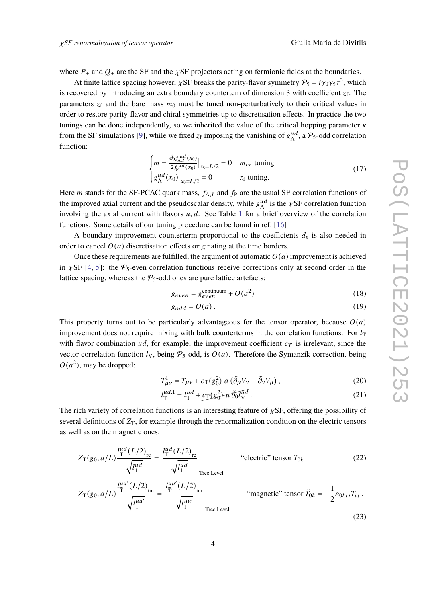where  $P_{\pm}$  and  $Q_{\pm}$  are the SF and the  $\chi$ SF projectors acting on fermionic fields at the boundaries.

At finite lattice spacing however,  $\chi$ SF breaks the parity-flavor symmetry  $P_5 = i\gamma_0\gamma_5\tau^3$ , which is recovered by introducing an extra boundary countertem of dimension 3 with coefficient  $z_f$ . The parameters  $z_f$  and the bare mass  $m_0$  must be tuned non-perturbatively to their critical values in order to restore parity-flavor and chiral symmetries up to discretisation effects. In practice the two tunings can be done independently, so we inherited the value of the critical hopping parameter  $\kappa$ from the SF simulations [\[9\]](#page-8-0), while we fixed  $z_f$  imposing the vanishing of  $g_A^{\mu d}$  $_{\rm A}^{ud}$ , a  $P_5$ -odd correlation function:

$$
\begin{cases}\n m = \frac{\tilde{\partial}_0 f_{A,I}^{ud}(x_0)}{2f_P^{ud}(x_0)} \big|_{x_0 = L/2} = 0 & m_{cr} \text{ tuning} \\
g_A^{ud}(x_0) \big|_{x_0 = L/2} = 0 & z_f \text{ tuning.} \n\end{cases}
$$
\n(17)

Here *m* stands for the SF-PCAC quark mass,  $f_{A,I}$  and  $f_P$  are the usual SF correlation functions of the improved axial current and the pseudoscalar density, while  $g_{\lambda}^{ud}$  $_{\mathrm{A}}^{ud}$  is the  $\chi$ SF correlation function involving the axial current with flavors  $u, d$ . See Table [1](#page-4-0) for a brief overview of the correlation functions. Some details of our tuning procedure can be found in ref. [\[16\]](#page-8-6)

A boundary improvement counterterm proportional to the coefficients  $d_s$  is also needed in order to cancel  $O(a)$  discretisation effects originating at the time borders.

Once these requirements are fulfilled, the argument of automatic  $O(a)$  improvement is achieved in  $\chi$ SF [\[4,](#page-7-3) [5\]](#page-7-5): the  $P_5$ -even correlation functions receive corrections only at second order in the lattice spacing, whereas the  $P_5$ -odd ones are pure lattice artefacts:

$$
g_{even} = g_{even}^{\text{continuum}} + O(a^2)
$$
 (18)

$$
g_{odd} = O(a). \tag{19}
$$

This property turns out to be particularly advantageous for the tensor operator, because  $O(a)$ improvement does not require mixing with bulk counterterms in the correlation functions. For  $l_T$ with flavor combination  $ud$ , for example, the improvement coefficient  $c<sub>T</sub>$  is irrelevant, since the vector correlation function  $l_V$ , being  $P_5$ -odd, is  $O(a)$ . Therefore the Symanzik correction, being  $O(a^2)$ , may be dropped:

$$
T_{\mu\nu}^{I} = T_{\mu\nu} + c_{\text{T}}(g_0^2) \ a \ (\tilde{\partial}_{\mu} V_{\nu} - \tilde{\partial}_{\nu} V_{\mu}), \qquad (20)
$$

<span id="page-3-1"></span><span id="page-3-0"></span>
$$
l_{\rm T}^{ud,1} = l_{\rm T}^{ud} + c_{\rm T}(g_0^2) \, \tilde{\sigma} \tilde{\delta} l_{\rm V}^{ud} \,. \tag{21}
$$

The rich variety of correlation functions is an interesting feature of  $\chi$ SF, offering the possibility of several definitions of  $Z_T$ , for example through the renormalization condition on the electric tensors as well as on the magnetic ones:

$$
Z_{\rm T}(g_0, a/L) \frac{l_{\rm T}^{ud}(L/2)_{\rm re}}{\sqrt{l_{\rm T}^{ud}}} = \frac{l_{\rm T}^{ud}(L/2)_{\rm re}}{\sqrt{l_{\rm T}^{ud}}}\Big|_{\text{Tree Level}}
$$
 "electric" tensor  $T_{0k}$  (22)  

$$
l_{\rm Z}^{uu'}(L/2) = l_{\rm Z}^{uu'}(L/2) \Big|_{\text{Tree Level}}
$$

$$
Z_{\rm T}(g_0, a/L) \frac{l_{\rm T}^{uu'}(L/2)}{\sqrt{l_{\rm T}^{uu'}}} = \frac{l_{\rm T}^{uu'}(L/2)}{\sqrt{l_{\rm T}^{uu'}}}\Big|_{\text{Tree Level}} \qquad \text{``magnetic'' tensor } \tilde{T}_{0k} = -\frac{1}{2} \varepsilon_{0kij} T_{ij} \,. \tag{23}
$$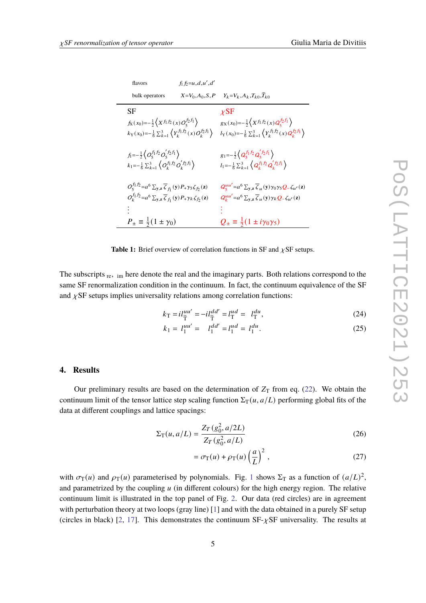<span id="page-4-0"></span>

| flavors                                                                                                                                                                                                                                                       | $f_1 f_2 = u, d, u', d'$ |                                                                                                                                                                                                                                  |
|---------------------------------------------------------------------------------------------------------------------------------------------------------------------------------------------------------------------------------------------------------------|--------------------------|----------------------------------------------------------------------------------------------------------------------------------------------------------------------------------------------------------------------------------|
| bulk operators                                                                                                                                                                                                                                                | $X = V_0, A_0, S, P$     | $Y_k = V_k, A_k, T_{k0}, T_{k0}$                                                                                                                                                                                                 |
| SF<br>$f_X(x_0) = -\frac{1}{2} \left( X^{f_1 f_2}(x) O_5^{f_2 f_1} \right)$<br>$k_{\text{Y}}(x_0) = -\frac{1}{6} \sum_{k=1}^{3} \left\langle Y_k^{f_1f_2}(x) Q_k^{f_2f_1} \right\rangle$                                                                      |                          | $\chi$ SF<br>$g_X(x_0) = -\frac{1}{2} \left( X^{f_1 f_2}(x) Q_5^{f_2 f_1} \right)$<br>$l_{\text{Y}}(x_0) = -\frac{1}{6} \sum_{k=1}^{3} \left\langle Y_k^{f_1 f_2}(x) Q_k^{f_2 f_1} \right\rangle$                                |
| $f_1 = -\frac{1}{2} \left\{ O_5^{f_1 f_2} O_5^{f_2 f_1} \right\}$<br>$k_1 = -\frac{1}{6} \sum_{k=1}^3 \left\langle O_k^{f_1 f_2} O_k^{f_2 f_1} \right\rangle$                                                                                                 |                          | $g_1 = -\frac{1}{2} \left( Q_5^{f_1 f_2} Q_5^{f_2 f_1} \right)$<br>$l_1 = -\frac{1}{6} \sum_{k=1}^3 \left\langle Q_k^{f_1 f_2} Q_k^{f_2 f_1} \right\rangle$                                                                      |
| $O_5^{f_1f_2}=a^6 \sum_{y,z} \overline{\zeta}_{f_1}(y) P_+\gamma_5 \zeta_{f_2}(z)$<br>$O_k^{f_1f_2}=a^6 \sum_{\mathbf{y},\mathbf{z}} \overline{\zeta}_{f_1}(\mathbf{y}) P_+ \gamma_k \zeta_{f_2}(\mathbf{z})$<br>$P_{\pm} \equiv \frac{1}{2}(1 \pm \gamma_0)$ |                          | $Q_5^{uu'} = a^6 \sum_{y,z} \overline{\zeta}_u(y) \gamma_0 \gamma_5 Q_- \zeta_{u'}(z)$<br>$Q_k^{uu'} = a^6 \sum_{y,z} \overline{\zeta}_u(y) \gamma_k Q - \zeta_{u'}(z)$<br>$Q_{\pm} \equiv \frac{1}{2}(1 \pm i\gamma_0\gamma_5)$ |

**Table 1:** Brief overview of correlation functions in SF and  $\chi$ SF setups.

The subscripts <sub>re</sub>, <sub>im</sub> here denote the real and the imaginary parts. Both relations correspond to the same SF renormalization condition in the continuum. In fact, the continuum equivalence of the SF and  $\chi$ SF setups implies universality relations among correlation functions:

$$
k_{\rm T} = i l_{\widetilde{\rm T}}^{uu'} = -i l_{\widetilde{\rm T}}^{dd'} = l_{\rm T}^{ud} = l_{\rm T}^{du},\tag{24}
$$

$$
k_1 = l_1^{uu'} = l_1^{dd'} = l_1^{ud} = l_1^{du}.
$$
\n(25)

## **4. Results**

Our preliminary results are based on the determination of  $Z_T$  from eq. [\(22\)](#page-3-0). We obtain the continuum limit of the tensor lattice step scaling function  $\Sigma_{\rm T}(u, a/L)$  performing global fits of the data at different couplings and lattice spacings:

$$
\Sigma_{\rm T}(u, a/L) = \frac{Z_{\rm T}(g_0^2, a/2L)}{Z_{\rm T}(g_0^2, a/L)}
$$
(26)

$$
= \sigma_{\rm T}(u) + \rho_{\rm T}(u) \left(\frac{a}{L}\right)^2, \qquad (27)
$$

with  $\sigma_T(u)$  and  $\rho_T(u)$  parameterised by polynomials. Fig. [1](#page-5-0) shows  $\Sigma_T$  as a function of  $(a/L)^2$ , and parametrized by the coupling  $u$  (in different colours) for the high energy region. The relative continuum limit is illustrated in the top panel of Fig. [2.](#page-6-0) Our data (red circles) are in agreement with perturbation theory at two loops (gray line) [\[1\]](#page-7-0) and with the data obtained in a purely SF setup (circles in black) [\[2,](#page-7-1) [17\]](#page-8-7). This demonstrates the continuum  $SF-\chi SF$  universality. The results at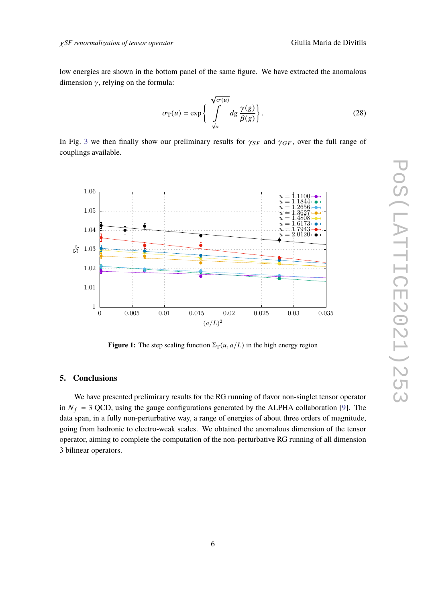low energies are shown in the bottom panel of the same figure. We have extracted the anomalous dimension  $\gamma$ , relying on the formula:

$$
\sigma_{\mathcal{T}}(u) = \exp\left\{\int\limits_{\sqrt{u}}^{\sqrt{\sigma(u)}} dg \frac{\gamma(g)}{\beta(g)}\right\}.
$$
 (28)

<span id="page-5-0"></span>In Fig. [3](#page-7-6) we then finally show our preliminary results for  $\gamma_{SF}$  and  $\gamma_{GF}$ , over the full range of couplings available.



**Figure 1:** The step scaling function  $\Sigma_T(u, a/L)$  in the high energy region

## **5. Conclusions**

We have presented prelimirary results for the RG running of flavor non-singlet tensor operator in  $N_f = 3$  QCD, using the gauge configurations generated by the ALPHA collaboration [\[9\]](#page-8-0). The data span, in a fully non-perturbative way, a range of energies of about three orders of magnitude, going from hadronic to electro-weak scales. We obtained the anomalous dimension of the tensor operator, aiming to complete the computation of the non-perturbative RG running of all dimension 3 bilinear operators.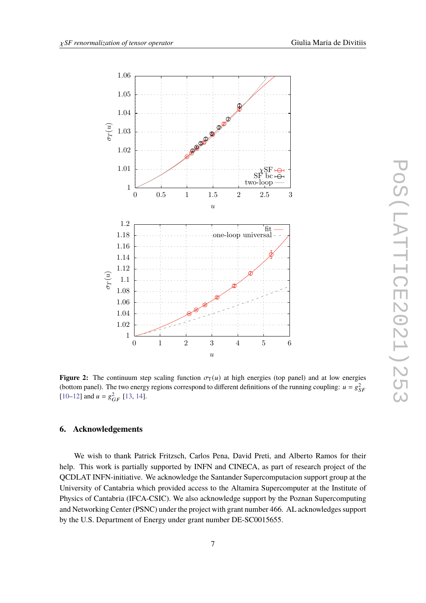<span id="page-6-0"></span>

**Figure 2:** The continuum step scaling function  $\sigma_T(u)$  at high energies (top panel) and at low energies (bottom panel). The two energy regions correspond to different definitions of the running coupling:  $u = g_{SF}^2$ [\[10–](#page-8-1)[12\]](#page-8-2) and  $u = g_{GF}^2$  [\[13,](#page-8-3) [14\]](#page-8-4).

## **6. Acknowledgements**

We wish to thank Patrick Fritzsch, Carlos Pena, David Preti, and Alberto Ramos for their help. This work is partially supported by INFN and CINECA, as part of research project of the QCDLAT INFN-initiative. We acknowledge the Santander Supercomputacion support group at the University of Cantabria which provided access to the Altamira Supercomputer at the Institute of Physics of Cantabria (IFCA-CSIC). We also acknowledge support by the Poznan Supercomputing and Networking Center (PSNC) under the project with grant number 466. AL acknowledges support by the U.S. Department of Energy under grant number DE-SC0015655.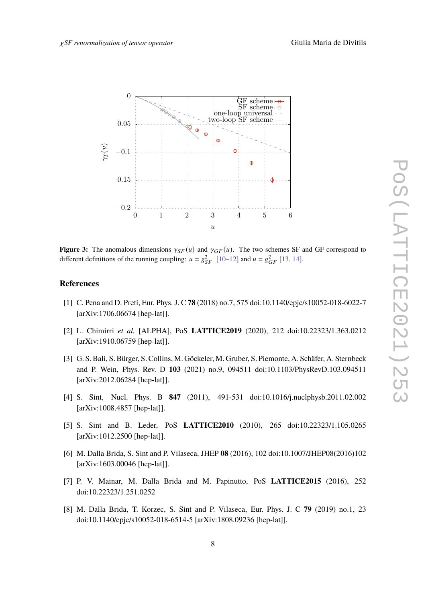

<span id="page-7-6"></span>

**Figure 3:** The anomalous dimensions  $\gamma_{SF}(u)$  and  $\gamma_{GF}(u)$ . The two schemes SF and GF correspond to different definitions of the running coupling:  $u = g_{SF}^2$  [\[10–](#page-8-1)[12\]](#page-8-2) and  $u = g_{GF}^2$  [\[13,](#page-8-3) [14\]](#page-8-4).

### **References**

- <span id="page-7-0"></span>[1] C. Pena and D. Preti, Eur. Phys. J. C **78** (2018) no.7, 575 doi:10.1140/epjc/s10052-018-6022-7 [arXiv:1706.06674 [hep-lat]].
- <span id="page-7-1"></span>[2] L. Chimirri *et al.* [ALPHA], PoS **LATTICE2019** (2020), 212 doi:10.22323/1.363.0212 [arXiv:1910.06759 [hep-lat]].
- <span id="page-7-2"></span>[3] G. S. Bali, S. Bürger, S. Collins, M. Göckeler, M. Gruber, S. Piemonte, A. Schäfer, A. Sternbeck and P. Wein, Phys. Rev. D **103** (2021) no.9, 094511 doi:10.1103/PhysRevD.103.094511 [arXiv:2012.06284 [hep-lat]].
- <span id="page-7-3"></span>[4] S. Sint, Nucl. Phys. B **847** (2011), 491-531 doi:10.1016/j.nuclphysb.2011.02.002 [arXiv:1008.4857 [hep-lat]].
- <span id="page-7-5"></span>[5] S. Sint and B. Leder, PoS **LATTICE2010** (2010), 265 doi:10.22323/1.105.0265 [arXiv:1012.2500 [hep-lat]].
- [6] M. Dalla Brida, S. Sint and P. Vilaseca, JHEP **08** (2016), 102 doi:10.1007/JHEP08(2016)102 [arXiv:1603.00046 [hep-lat]].
- [7] P. V. Mainar, M. Dalla Brida and M. Papinutto, PoS **LATTICE2015** (2016), 252 doi:10.22323/1.251.0252
- <span id="page-7-4"></span>[8] M. Dalla Brida, T. Korzec, S. Sint and P. Vilaseca, Eur. Phys. J. C **79** (2019) no.1, 23 doi:10.1140/epjc/s10052-018-6514-5 [arXiv:1808.09236 [hep-lat]].